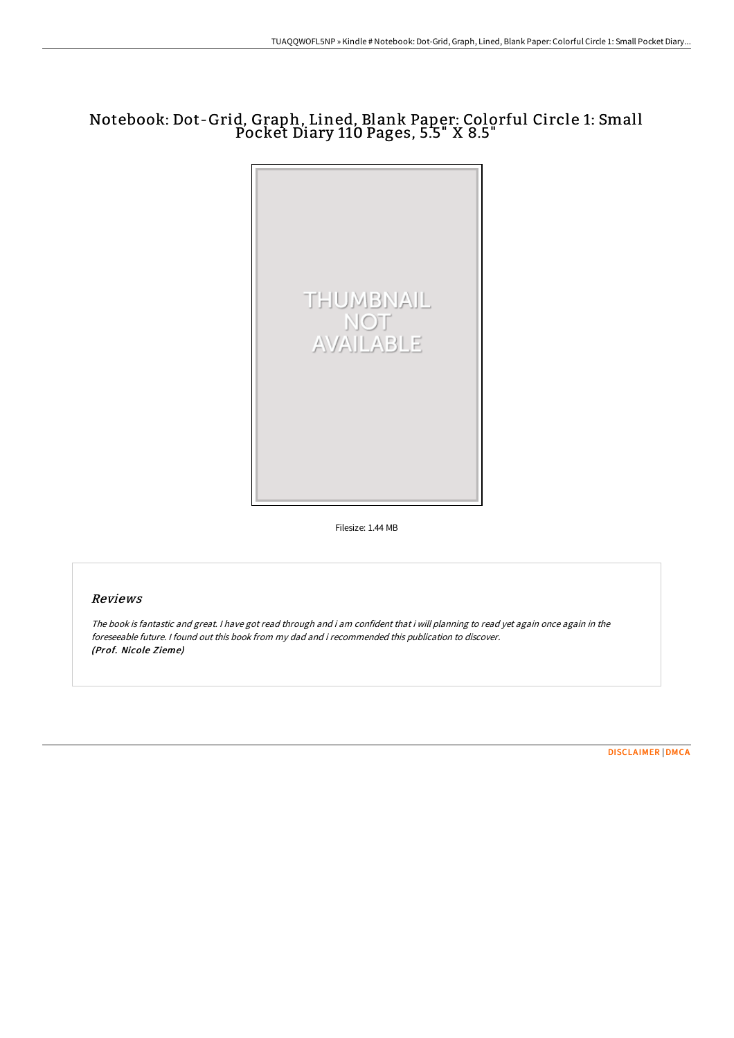## Notebook: Dot-Grid, Graph, Lined, Blank Paper: Colorful Circle 1: Small Pocket Diary 110 Pages, 5.5" X 8.5"



Filesize: 1.44 MB

## Reviews

The book is fantastic and great. <sup>I</sup> have got read through and i am confident that i will planning to read yet again once again in the foreseeable future. I found out this book from my dad and i recommended this publication to discover. (Prof. Nicole Zieme)

[DISCLAIMER](http://albedo.media/disclaimer.html) | [DMCA](http://albedo.media/dmca.html)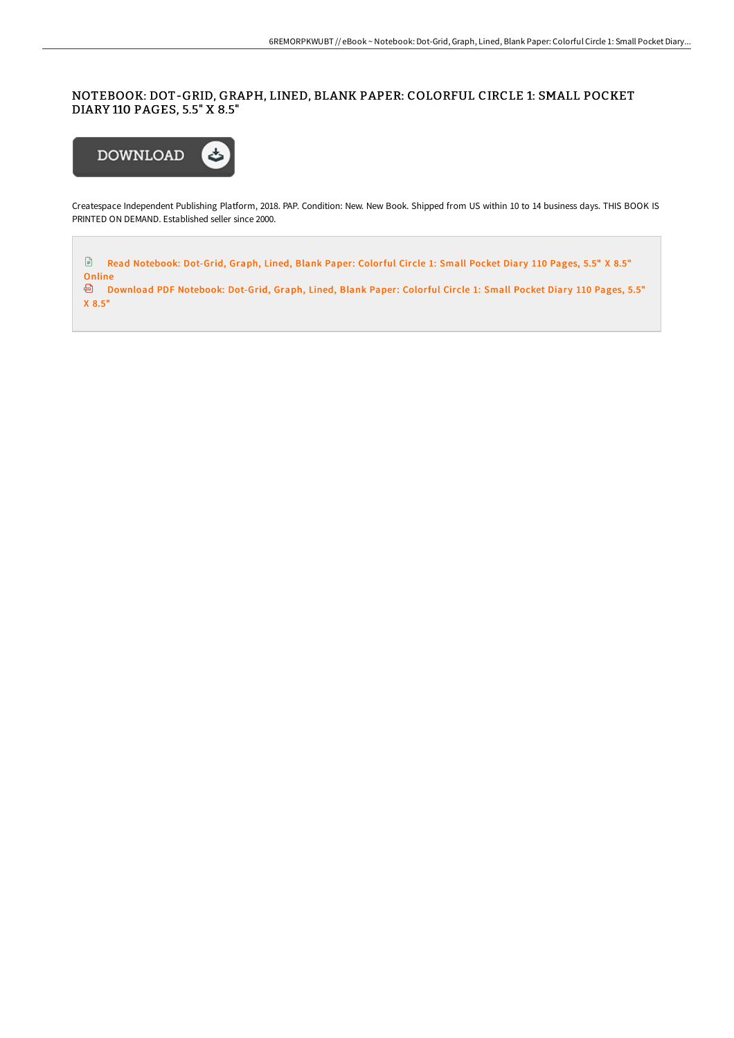NOTEBOOK: DOT-GRID, GRAPH, LINED, BLANK PAPER: COLORFUL CIRCLE 1: SMALL POCKET DIARY 110 PAGES, 5.5" X 8.5"



Createspace Independent Publishing Platform, 2018. PAP. Condition: New. New Book. Shipped from US within 10 to 14 business days. THIS BOOK IS PRINTED ON DEMAND. Established seller since 2000.

 $\mathbf{r}$ Read [Notebook:](http://albedo.media/notebook-dot-grid-graph-lined-blank-paper-colorf.html) Dot-Grid, Graph, Lined, Blank Paper: Colorful Circle 1: Small Pocket Diary 110 Pages, 5.5" X 8.5" Online

<sup>a</sup> Download PDF [Notebook:](http://albedo.media/notebook-dot-grid-graph-lined-blank-paper-colorf.html) Dot-Grid, Graph, Lined, Blank Paper: Colorful Circle 1: Small Pocket Diary 110 Pages, 5.5" X 8.5"